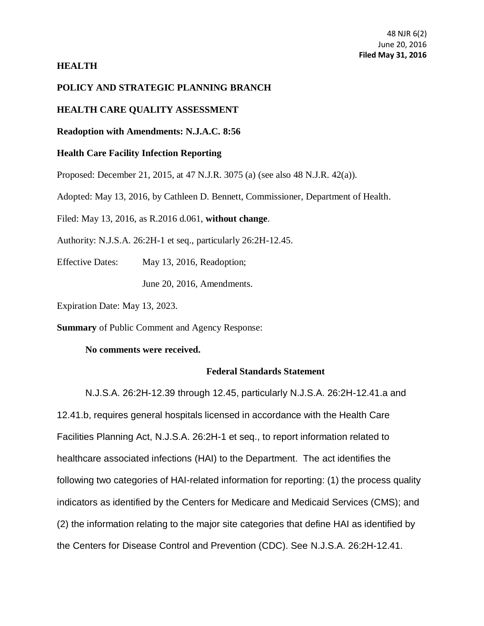## **HEALTH**

## **POLICY AND STRATEGIC PLANNING BRANCH**

## **HEALTH CARE QUALITY ASSESSMENT**

**Readoption with Amendments: N.J.A.C. 8:56**

# **Health Care Facility Infection Reporting**

Proposed: December 21, 2015, at [47 N.J.R. 3075 \(a\)](https://web.lexisnexis.com/research/buttonTFLink?_m=7f839a864e627bdeb65131183d99d57b&_xfercite=%3ccite%20cc%3d%22USA%22%3e%3c%21%5bCDATA%5b47%20N.J.R.%202063%28a%29%5d%5d%3e%3c%2fcite%3e&_butType=4&_butStat=0&_butNum=4&_butInline=1&_butinfo=47%20NJR%20319A&_fmtstr=FULL&docnum=2&_startdoc=1&wchp=dGLbVzt-zSkAA&_md5=561254c41536988060c209276c5d7519) (see also 48 N.J.R. 42(a)).

Adopted: May 13, 2016, by Cathleen D. Bennett, Commissioner, Department of Health.

Filed: May 13, 2016, as R.2016 d.061, **without change**.

Authority: [N.J.S.A. 26:2H-1](https://web.lexisnexis.com/research/buttonTFLink?_m=7f839a864e627bdeb65131183d99d57b&_xfercite=%3ccite%20cc%3d%22USA%22%3e%3c%21%5bCDATA%5b47%20N.J.R.%202063%28a%29%5d%5d%3e%3c%2fcite%3e&_butType=4&_butStat=0&_butNum=6&_butInline=1&_butinfo=NJCODE%2026%3a2H-1&_fmtstr=FULL&docnum=2&_startdoc=1&wchp=dGLbVzt-zSkAA&_md5=e719b5d7b084245c401e2da980a12163) et seq., particularly 26:2H-12.45.

Effective Dates: May 13, 2016, Readoption;

June 20, 2016, Amendments.

Expiration Date: May 13, 2023.

**Summary** of Public Comment and Agency Response:

## **No comments were received.**

#### **Federal Standards Statement**

[N.J.S.A. 26:2H-12.39](http://www.lexis.com/research/buttonTFLink?_m=24b7a1f309f28a9185a1f4e66a98de3b&_xfercite=%3ccite%20cc%3d%22USA%22%3e%3c%21%5bCDATA%5b40%20N.J.R.%201958%28a%29%5d%5d%3e%3c%2fcite%3e&_butType=4&_butStat=0&_butNum=6&_butInline=1&_butinfo=NJCODE%2026%3a2H-12.39&_fmtstr=FULL&docnum=1&_startdoc=1&wchp=dGLzVzt-zSkAb&_md5=65d7592ed204c20866f4ae5718bf3b52) through 12.45, particularly N.J.S.A. 26:2H-12.41.a and 12.41.b, requires general hospitals licensed in accordance with the Health Care Facilities Planning Act, [N.J.S.A. 26:2H-1](http://www.lexis.com/research/buttonTFLink?_m=24b7a1f309f28a9185a1f4e66a98de3b&_xfercite=%3ccite%20cc%3d%22USA%22%3e%3c%21%5bCDATA%5b40%20N.J.R.%201958%28a%29%5d%5d%3e%3c%2fcite%3e&_butType=4&_butStat=0&_butNum=7&_butInline=1&_butinfo=NJCODE%2026%3a2H-1&_fmtstr=FULL&docnum=1&_startdoc=1&wchp=dGLzVzt-zSkAb&_md5=07e131bcc9a470eb39a2fca464e615a7) et seq., to report information related to healthcare associated infections (HAI) to the Department. The act identifies the following two categories of HAI-related information for reporting: (1) the process quality indicators as identified by the Centers for Medicare and Medicaid Services (CMS); and (2) the information relating to the major site categories that define HAI as identified by the Centers for Disease Control and Prevention (CDC). See [N.J.S.A. 26:2H-12.41.](http://www.lexis.com/research/buttonTFLink?_m=24b7a1f309f28a9185a1f4e66a98de3b&_xfercite=%3ccite%20cc%3d%22USA%22%3e%3c%21%5bCDATA%5b40%20N.J.R.%201958%28a%29%5d%5d%3e%3c%2fcite%3e&_butType=4&_butStat=0&_butNum=8&_butInline=1&_butinfo=NJCODE%2026%3a2H-12.41&_fmtstr=FULL&docnum=1&_startdoc=1&wchp=dGLzVzt-zSkAb&_md5=c9d904f899f33c2b3a5d0cc0fdb4e5ed)